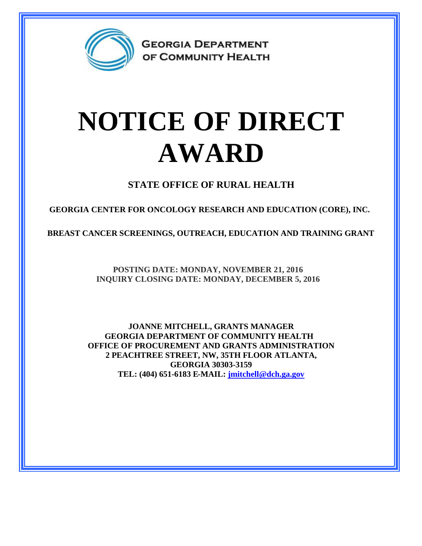

**GEORGIA DEPARTMENT** OF COMMUNITY HEALTH

## **NOTICE OF DIRECT AWARD**

**STATE OFFICE OF RURAL HEALTH**

**GEORGIA CENTER FOR ONCOLOGY RESEARCH AND EDUCATION (CORE), INC.**

**BREAST CANCER SCREENINGS, OUTREACH, EDUCATION AND TRAINING GRANT**

**POSTING DATE: MONDAY, NOVEMBER 21, 2016 INQUIRY CLOSING DATE: MONDAY, DECEMBER 5, 2016**

**JOANNE MITCHELL, GRANTS MANAGER GEORGIA DEPARTMENT OF COMMUNITY HEALTH OFFICE OF PROCUREMENT AND GRANTS ADMINISTRATION 2 PEACHTREE STREET, NW, 35TH FLOOR ATLANTA, GEORGIA 30303-3159 TEL: (404) 651-6183 E-MAIL: [jmitchell@dch.ga.gov](mailto:jmitchell@dch.ga.gov)**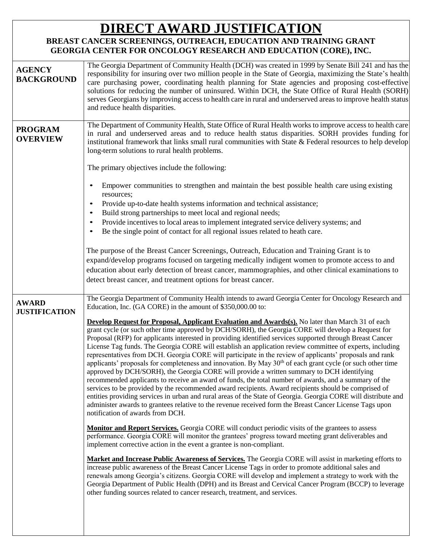## **DIRECT AWARD JUSTIFICATION**

## **BREAST CANCER SCREENINGS, OUTREACH, EDUCATION AND TRAINING GRANT GEORGIA CENTER FOR ONCOLOGY RESEARCH AND EDUCATION (CORE), INC.**

| <b>AGENCY</b><br><b>BACKGROUND</b> | The Georgia Department of Community Health (DCH) was created in 1999 by Senate Bill 241 and has the<br>responsibility for insuring over two million people in the State of Georgia, maximizing the State's health<br>care purchasing power, coordinating health planning for State agencies and proposing cost-effective<br>solutions for reducing the number of uninsured. Within DCH, the State Office of Rural Health (SORH)<br>serves Georgians by improving access to health care in rural and underserved areas to improve health status<br>and reduce health disparities. |
|------------------------------------|----------------------------------------------------------------------------------------------------------------------------------------------------------------------------------------------------------------------------------------------------------------------------------------------------------------------------------------------------------------------------------------------------------------------------------------------------------------------------------------------------------------------------------------------------------------------------------|
| <b>PROGRAM</b><br><b>OVERVIEW</b>  | The Department of Community Health, State Office of Rural Health works to improve access to health care<br>in rural and underserved areas and to reduce health status disparities. SORH provides funding for<br>institutional framework that links small rural communities with State & Federal resources to help develop<br>long-term solutions to rural health problems.                                                                                                                                                                                                       |
|                                    | The primary objectives include the following:                                                                                                                                                                                                                                                                                                                                                                                                                                                                                                                                    |
|                                    | Empower communities to strengthen and maintain the best possible health care using existing<br>resources;                                                                                                                                                                                                                                                                                                                                                                                                                                                                        |
|                                    | Provide up-to-date health systems information and technical assistance;<br>Build strong partnerships to meet local and regional needs;                                                                                                                                                                                                                                                                                                                                                                                                                                           |
|                                    | Provide incentives to local areas to implement integrated service delivery systems; and                                                                                                                                                                                                                                                                                                                                                                                                                                                                                          |
|                                    | Be the single point of contact for all regional issues related to heath care.                                                                                                                                                                                                                                                                                                                                                                                                                                                                                                    |
|                                    |                                                                                                                                                                                                                                                                                                                                                                                                                                                                                                                                                                                  |
|                                    | The purpose of the Breast Cancer Screenings, Outreach, Education and Training Grant is to                                                                                                                                                                                                                                                                                                                                                                                                                                                                                        |
|                                    | expand/develop programs focused on targeting medically indigent women to promote access to and                                                                                                                                                                                                                                                                                                                                                                                                                                                                                   |
|                                    | education about early detection of breast cancer, mammographies, and other clinical examinations to                                                                                                                                                                                                                                                                                                                                                                                                                                                                              |
|                                    | detect breast cancer, and treatment options for breast cancer.                                                                                                                                                                                                                                                                                                                                                                                                                                                                                                                   |
|                                    |                                                                                                                                                                                                                                                                                                                                                                                                                                                                                                                                                                                  |
| <b>AWARD</b>                       | The Georgia Department of Community Health intends to award Georgia Center for Oncology Research and                                                                                                                                                                                                                                                                                                                                                                                                                                                                             |
| <b>JUSTIFICATION</b>               | Education, Inc. (GA CORE) in the amount of \$350,000.00 to:                                                                                                                                                                                                                                                                                                                                                                                                                                                                                                                      |
|                                    | <b>Develop Request for Proposal, Applicant Evaluation and Awards(s).</b> No later than March 31 of each                                                                                                                                                                                                                                                                                                                                                                                                                                                                          |
|                                    | grant cycle (or such other time approved by DCH/SORH), the Georgia CORE will develop a Request for                                                                                                                                                                                                                                                                                                                                                                                                                                                                               |
|                                    | Proposal (RFP) for applicants interested in providing identified services supported through Breast Cancer<br>License Tag funds. The Georgia CORE will establish an application review committee of experts, including                                                                                                                                                                                                                                                                                                                                                            |
|                                    | representatives from DCH. Georgia CORE will participate in the review of applicants' proposals and rank                                                                                                                                                                                                                                                                                                                                                                                                                                                                          |
|                                    | applicants' proposals for completeness and innovation. By May 30 <sup>th</sup> of each grant cycle (or such other time                                                                                                                                                                                                                                                                                                                                                                                                                                                           |
|                                    | approved by DCH/SORH), the Georgia CORE will provide a written summary to DCH identifying                                                                                                                                                                                                                                                                                                                                                                                                                                                                                        |
|                                    | recommended applicants to receive an award of funds, the total number of awards, and a summary of the                                                                                                                                                                                                                                                                                                                                                                                                                                                                            |
|                                    | services to be provided by the recommended award recipients. Award recipients should be comprised of<br>entities providing services in urban and rural areas of the State of Georgia. Georgia CORE will distribute and                                                                                                                                                                                                                                                                                                                                                           |
|                                    | administer awards to grantees relative to the revenue received form the Breast Cancer License Tags upon                                                                                                                                                                                                                                                                                                                                                                                                                                                                          |
|                                    | notification of awards from DCH.                                                                                                                                                                                                                                                                                                                                                                                                                                                                                                                                                 |
|                                    | <b>Monitor and Report Services.</b> Georgia CORE will conduct periodic visits of the grantees to assess                                                                                                                                                                                                                                                                                                                                                                                                                                                                          |
|                                    | performance. Georgia CORE will monitor the grantees' progress toward meeting grant deliverables and<br>implement corrective action in the event a grantee is non-compliant.                                                                                                                                                                                                                                                                                                                                                                                                      |
|                                    | Market and Increase Public Awareness of Services. The Georgia CORE will assist in marketing efforts to                                                                                                                                                                                                                                                                                                                                                                                                                                                                           |
|                                    | increase public awareness of the Breast Cancer License Tags in order to promote additional sales and<br>renewals among Georgia's citizens. Georgia CORE will develop and implement a strategy to work with the<br>Georgia Department of Public Health (DPH) and its Breast and Cervical Cancer Program (BCCP) to leverage<br>other funding sources related to cancer research, treatment, and services.                                                                                                                                                                          |
|                                    |                                                                                                                                                                                                                                                                                                                                                                                                                                                                                                                                                                                  |
|                                    |                                                                                                                                                                                                                                                                                                                                                                                                                                                                                                                                                                                  |
|                                    |                                                                                                                                                                                                                                                                                                                                                                                                                                                                                                                                                                                  |